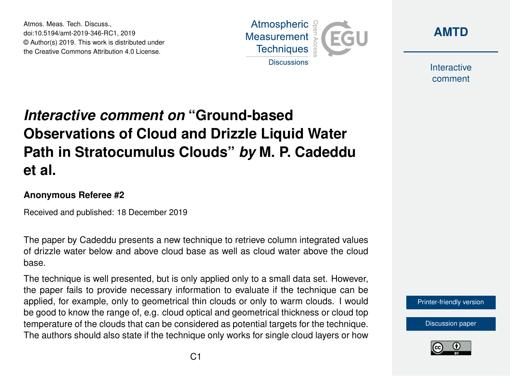Atmos. Meas. Tech. Discuss., doi:10.5194/amt-2019-346-RC1, 2019 © Author(s) 2019. This work is distributed under the Creative Commons Attribution 4.0 License.





Interactive comment

## *Interactive comment on* **"Ground-based Observations of Cloud and Drizzle Liquid Water Path in Stratocumulus Clouds"** *by* **M. P. Cadeddu et al.**

## **Anonymous Referee #2**

Received and published: 18 December 2019

The paper by Cadeddu presents a new technique to retrieve column integrated values of drizzle water below and above cloud base as well as cloud water above the cloud base.

The technique is well presented, but is only applied only to a small data set. However, the paper fails to provide necessary information to evaluate if the technique can be applied, for example, only to geometrical thin clouds or only to warm clouds. I would be good to know the range of, e.g. cloud optical and geometrical thickness or cloud top temperature of the clouds that can be considered as potential targets for the technique. The authors should also state if the technique only works for single cloud layers or how

[Printer-friendly version](https://www.atmos-meas-tech-discuss.net/amt-2019-346/amt-2019-346-RC1-print.pdf)

[Discussion paper](https://www.atmos-meas-tech-discuss.net/amt-2019-346)